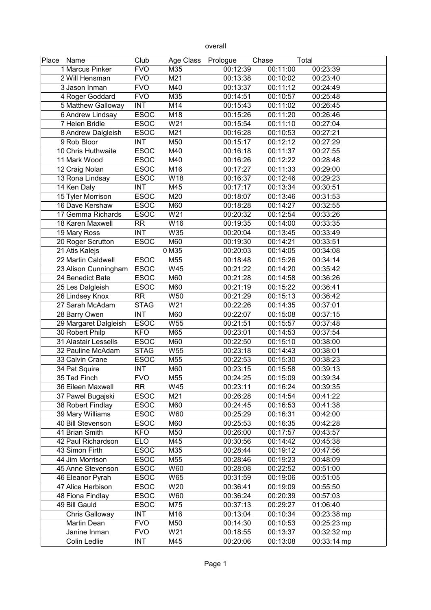| ı<br>∸<br>. . |
|---------------|
|---------------|

| Place Name            | Club        | Age Class Prologue |          | Chase    | Total       |
|-----------------------|-------------|--------------------|----------|----------|-------------|
| 1 Marcus Pinker       | <b>FVO</b>  | M35                | 00:12:39 | 00:11:00 | 00:23:39    |
| 2 Will Hensman        | <b>FVO</b>  | M21                | 00:13:38 | 00:10:02 | 00:23:40    |
| 3 Jason Inman         | <b>FVO</b>  | M40                | 00:13:37 | 00:11:12 | 00:24:49    |
| 4 Roger Goddard       | <b>FVO</b>  | M35                | 00:14:51 | 00:10:57 | 00:25:48    |
| 5 Matthew Galloway    | <b>INT</b>  | M14                | 00:15:43 | 00:11:02 | 00:26:45    |
| 6 Andrew Lindsay      | <b>ESOC</b> | M18                | 00:15:26 | 00:11:20 | 00:26:46    |
| 7 Helen Bridle        | <b>ESOC</b> | W21                | 00:15:54 | 00:11:10 | 00:27:04    |
| 8 Andrew Dalgleish    | <b>ESOC</b> | M21                | 00:16:28 | 00:10:53 | 00:27:21    |
| 9 Rob Bloor           | <b>INT</b>  | M50                | 00:15:17 | 00:12:12 | 00:27:29    |
| 10 Chris Huthwaite    | <b>ESOC</b> | M40                | 00:16:18 | 00:11:37 | 00:27:55    |
| 11 Mark Wood          | <b>ESOC</b> | M40                | 00:16:26 | 00:12:22 | 00:28:48    |
| 12 Craig Nolan        | <b>ESOC</b> | M16                | 00:17:27 | 00:11:33 | 00:29:00    |
| 13 Rona Lindsay       | <b>ESOC</b> | W18                | 00:16:37 | 00:12:46 | 00:29:23    |
| 14 Ken Daly           | <b>INT</b>  | M45                | 00:17:17 | 00:13:34 | 00:30:51    |
| 15 Tyler Morrison     | <b>ESOC</b> | M20                | 00:18:07 | 00:13:46 | 00:31:53    |
| 16 Dave Kershaw       | <b>ESOC</b> | M60                | 00:18:28 | 00:14:27 | 00:32:55    |
| 17 Gemma Richards     | <b>ESOC</b> | W21                | 00:20:32 | 00:12:54 | 00:33:26    |
| 18 Karen Maxwell      | <b>RR</b>   | W16                | 00:19:35 | 00:14:00 | 00:33:35    |
| 19 Mary Ross          | <b>INT</b>  | W35                | 00:20:04 | 00:13:45 | 00:33:49    |
| 20 Roger Scrutton     | <b>ESOC</b> | M60                | 00:19:30 | 00:14:21 | 00:33:51    |
| 21 Atis Kalejs        |             | 0 M35              | 00:20:03 | 00:14:05 | 00:34:08    |
| 22 Martin Caldwell    | <b>ESOC</b> | M55                | 00:18:48 | 00:15:26 | 00:34:14    |
| 23 Alison Cunningham  | <b>ESOC</b> | W45                | 00:21:22 | 00:14:20 | 00:35:42    |
| 24 Benedict Bate      | <b>ESOC</b> | M60                | 00:21:28 | 00:14:58 | 00:36:26    |
| 25 Les Dalgleish      | <b>ESOC</b> | M60                | 00:21:19 | 00:15:22 | 00:36:41    |
| 26 Lindsey Knox       | <b>RR</b>   | W50                | 00:21:29 | 00:15:13 | 00:36:42    |
| 27 Sarah McAdam       | <b>STAG</b> | W21                | 00:22:26 | 00:14:35 | 00:37:01    |
| 28 Barry Owen         | <b>INT</b>  | M60                | 00:22:07 | 00:15:08 | 00:37:15    |
| 29 Margaret Dalgleish | <b>ESOC</b> | W55                | 00:21:51 | 00:15:57 | 00:37:48    |
| 30 Robert Philp       | <b>KFO</b>  | M65                | 00:23:01 | 00:14:53 | 00:37:54    |
| 31 Alastair Lessells  | <b>ESOC</b> | M60                | 00:22:50 | 00:15:10 | 00:38:00    |
| 32 Pauline McAdam     | <b>STAG</b> | W55                | 00:23:18 | 00:14:43 | 00:38:01    |
| 33 Calvin Crane       | <b>ESOC</b> | M55                | 00:22:53 | 00:15:30 | 00:38:23    |
| 34 Pat Squire         | <b>INT</b>  | M60                | 00:23:15 | 00:15:58 | 00:39:13    |
| 35 Ted Finch          | <b>FVO</b>  | M55                | 00:24:25 | 00:15:09 | 00:39:34    |
| 36 Eileen Maxwell     | <b>RR</b>   | W45                | 00:23:11 | 00:16:24 | 00:39:35    |
| 37 Pawel Bugajski     | <b>ESOC</b> | M21                | 00:26:28 | 00:14:54 | 00:41:22    |
| 38 Robert Findlay     | <b>ESOC</b> | M60                | 00:24:45 | 00:16:53 | 00:41:38    |
| 39 Mary Williams      | <b>ESOC</b> | W60                | 00:25:29 | 00:16:31 | 00:42:00    |
| 40 Bill Stevenson     | <b>ESOC</b> | M60                | 00:25:53 | 00:16:35 | 00:42:28    |
| 41 Brian Smith        | <b>KFO</b>  | M50                | 00:26:00 | 00:17:57 | 00:43:57    |
| 42 Paul Richardson    | <b>ELO</b>  | M45                | 00:30:56 | 00:14:42 | 00:45:38    |
| 43 Simon Firth        | <b>ESOC</b> | M35                | 00:28:44 | 00:19:12 | 00:47:56    |
| 44 Jim Morrison       | <b>ESOC</b> | M55                | 00:28:46 | 00:19:23 | 00:48:09    |
| 45 Anne Stevenson     | <b>ESOC</b> | W60                | 00:28:08 | 00:22:52 | 00:51:00    |
| 46 Eleanor Pyrah      | <b>ESOC</b> | W65                | 00:31:59 | 00:19:06 | 00:51:05    |
| 47 Alice Herbison     | <b>ESOC</b> | W20                | 00:36:41 | 00:19:09 | 00:55:50    |
| 48 Fiona Findlay      | <b>ESOC</b> | W60                | 00:36:24 | 00:20:39 | 00:57:03    |
| 49 Bill Gauld         | <b>ESOC</b> | M75                | 00:37:13 | 00:29:27 | 01:06:40    |
| Chris Galloway        | INT         | M16                | 00:13:04 | 00:10:34 | 00:23:38 mp |
| Martin Dean           | <b>FVO</b>  | M50                | 00:14:30 | 00:10:53 | 00:25:23 mp |
| Janine Inman          | <b>FVO</b>  | W21                | 00:18:55 | 00:13:37 | 00:32:32 mp |
| Colin Ledlie          | INT         | M45                | 00:20:06 | 00:13:08 | 00:33:14 mp |